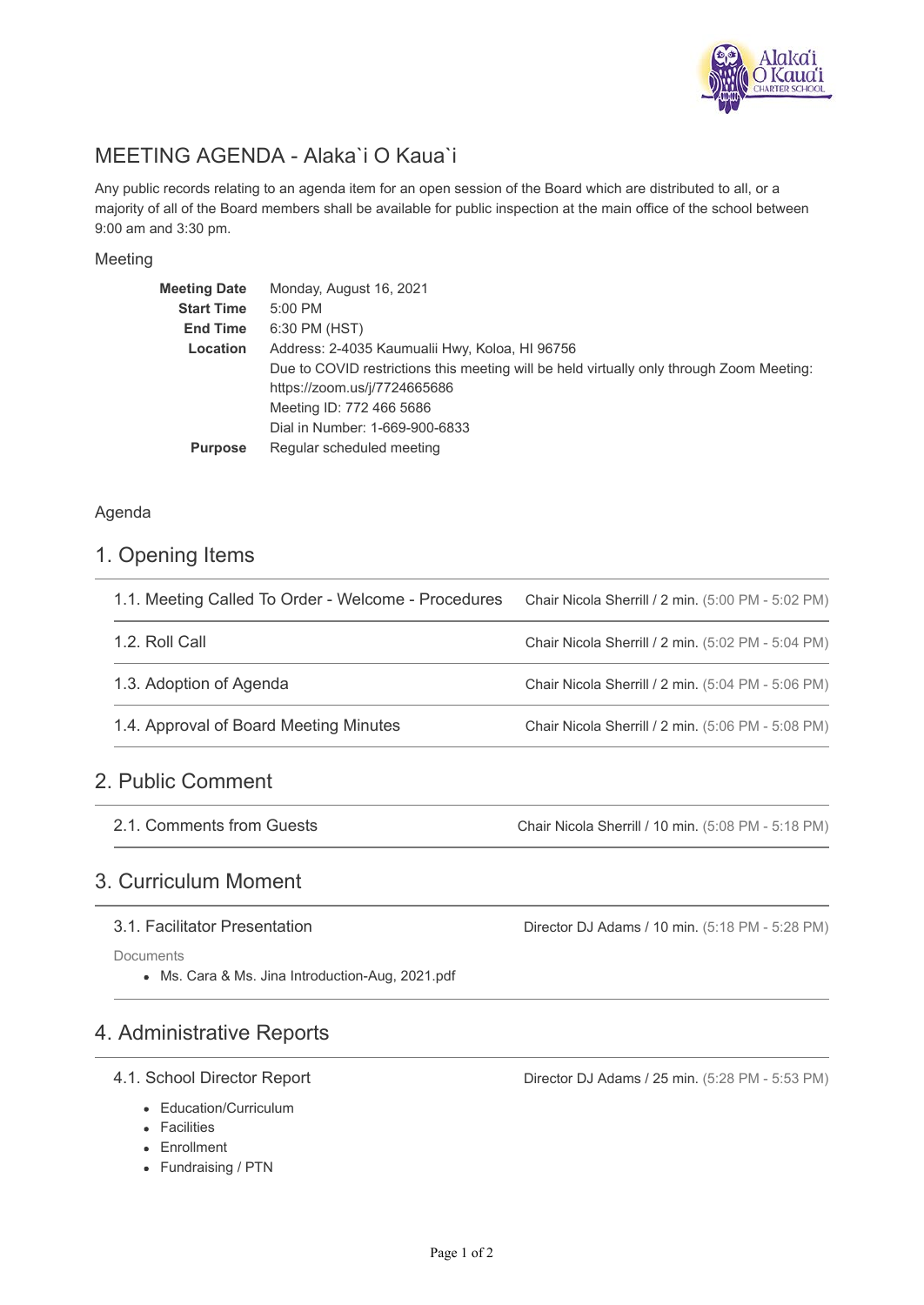

# MEETING AGENDA - Alaka`i O Kaua`i

Any public records relating to an agenda item for an open session of the Board which are distributed to all, or a majority of all of the Board members shall be available for public inspection at the main office of the school between 9:00 am and 3:30 pm.

### Meeting

| <b>Meeting Date</b> | Monday, August 16, 2021                                                                  |
|---------------------|------------------------------------------------------------------------------------------|
| <b>Start Time</b>   | 5:00 PM                                                                                  |
| <b>End Time</b>     | 6:30 PM (HST)                                                                            |
| Location            | Address: 2-4035 Kaumualii Hwy, Koloa, HI 96756                                           |
|                     | Due to COVID restrictions this meeting will be held virtually only through Zoom Meeting: |
|                     | https://zoom.us/j/7724665686                                                             |
|                     | Meeting ID: 772 466 5686                                                                 |
|                     | Dial in Number: 1-669-900-6833                                                           |
| <b>Purpose</b>      | Regular scheduled meeting                                                                |
|                     |                                                                                          |

### Agenda

### 1. Opening Items

| 1.1. Meeting Called To Order - Welcome - Procedures | Chair Nicola Sherrill / 2 min. (5:00 PM - 5:02 PM) |
|-----------------------------------------------------|----------------------------------------------------|
| 1.2. Roll Call                                      | Chair Nicola Sherrill / 2 min. (5:02 PM - 5:04 PM) |
| 1.3. Adoption of Agenda                             | Chair Nicola Sherrill / 2 min. (5:04 PM - 5:06 PM) |
| 1.4. Approval of Board Meeting Minutes              | Chair Nicola Sherrill / 2 min. (5:06 PM - 5:08 PM) |
|                                                     |                                                    |

## 2. Public Comment

2.1. Comments from Guests

Chair Nicola Sherrill / 10 min. (5:08 PM - 5:18 PM)

Director DJ Adams / 10 min. (5:18 PM - 5:28 PM)

## 3. Curriculum Moment

### 3.1. Facilitator Presentation

Documents

Ms. Cara & Ms. Jina Introduction-Aug, 2021.pdf

## 4. Administrative Reports

### 4.1. School Director Report

- Education/Curriculum
- Facilities
- Enrollment
- Fundraising / PTN

Director DJ Adams / 25 min. (5:28 PM - 5:53 PM)